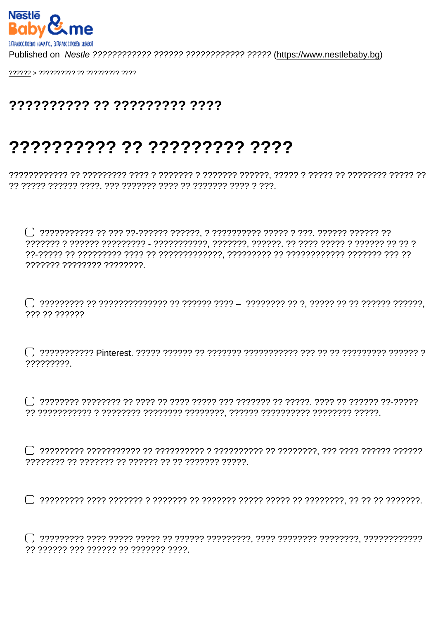## ?????????? ?? ???????? ????

## ?????????? ?? ????????? ????

777 77 777777

?????????.

?? ?????? ??? ?????? ?? ??????? ????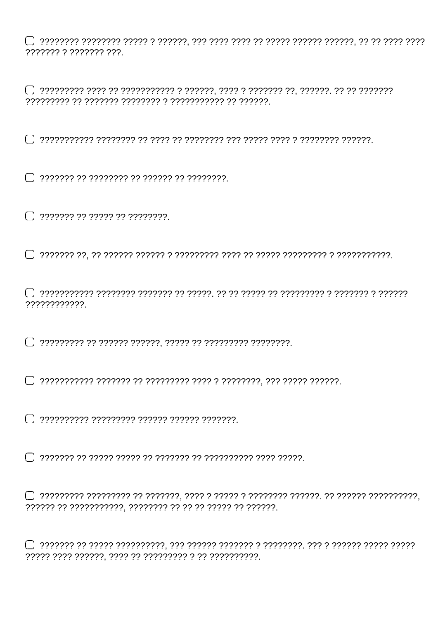7777777 7 7777777 777

 $\Box$  ??????? ?? ????? ?? ????????.

????????????